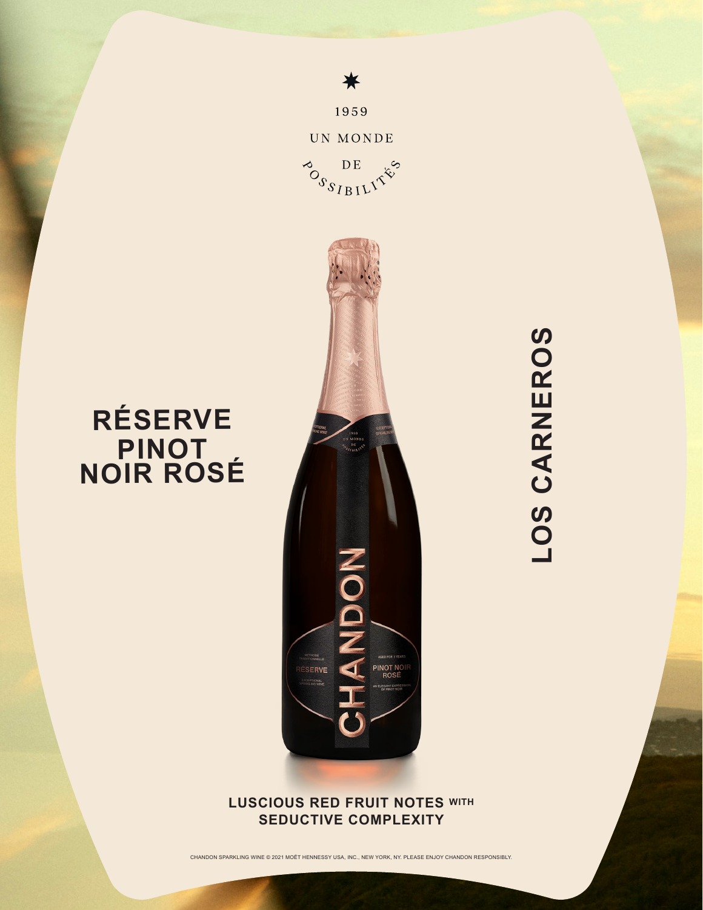

₩

1959

**RÉSERVE**

**PINOT NOIR ROSÉ**

## **LUSCIOUS RED FRUIT NOTES WITH SEDUCTIVE COMPLEXITY**

CHANDON SPARKLING WINE © 2021 MOËT HENNESSY USA, INC., NEW YORK, NY. PLEASE ENJOY CHANDON RESPONSIBLY.

LOS CARNEROS **LOS CARNEROS**